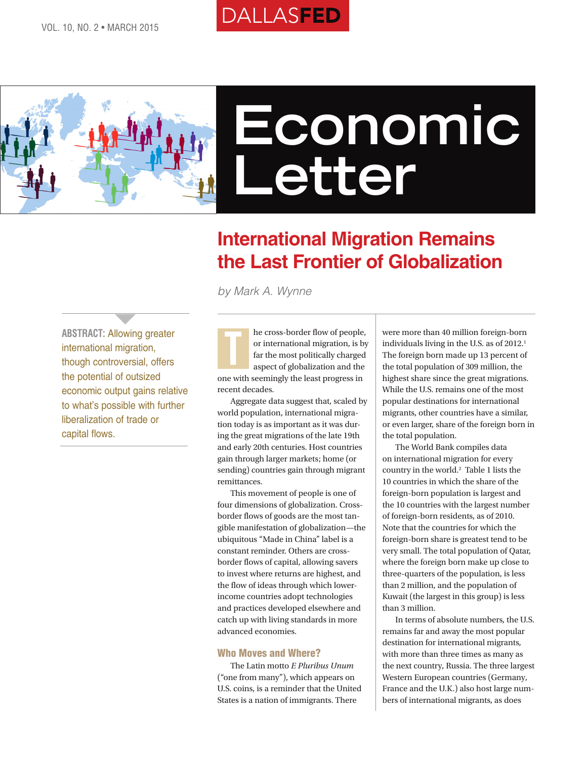# DALLASFED



# **Economic Letter**

## **International Migration Remains the Last Frontier of Globalization**

*by Mark A. Wynne*

**ABSTRACT:** Allowing greater international migration, though controversial, offers the potential of outsized economic output gains relative to what's possible with further liberalization of trade or capital flows.

**1999** 

he cross-border flow of people, or international migration, is by far the most politically charged aspect of globalization and the one with seemingly the least progress in recent decades. T

Aggregate data suggest that, scaled by world population, international migration today is as important as it was during the great migrations of the late 19th and early 20th centuries. Host countries gain through larger markets; home (or sending) countries gain through migrant remittances.

This movement of people is one of four dimensions of globalization. Crossborder flows of goods are the most tangible manifestation of globalization—the ubiquitous "Made in China" label is a constant reminder. Others are crossborder flows of capital, allowing savers to invest where returns are highest, and the flow of ideas through which lowerincome countries adopt technologies and practices developed elsewhere and catch up with living standards in more advanced economies.

#### Who Moves and Where?

The Latin motto *E Pluribus Unum* ("one from many"), which appears on U.S. coins, is a reminder that the United States is a nation of immigrants. There

were more than 40 million foreign-born individuals living in the U.S. as of 2012.<sup>1</sup> The foreign born made up 13 percent of the total population of 309 million, the highest share since the great migrations. While the U.S. remains one of the most popular destinations for international migrants, other countries have a similar, or even larger, share of the foreign born in the total population.

The World Bank compiles data on international migration for every country in the world.2 Table 1 lists the 10 countries in which the share of the foreign-born population is largest and the 10 countries with the largest number of foreign-born residents, as of 2010. Note that the countries for which the foreign-born share is greatest tend to be very small. The total population of Qatar, where the foreign born make up close to three-quarters of the population, is less than 2 million, and the population of Kuwait (the largest in this group) is less than 3 million.

In terms of absolute numbers, the U.S. remains far and away the most popular destination for international migrants, with more than three times as many as the next country, Russia. The three largest Western European countries (Germany, France and the U.K.) also host large numbers of international migrants, as does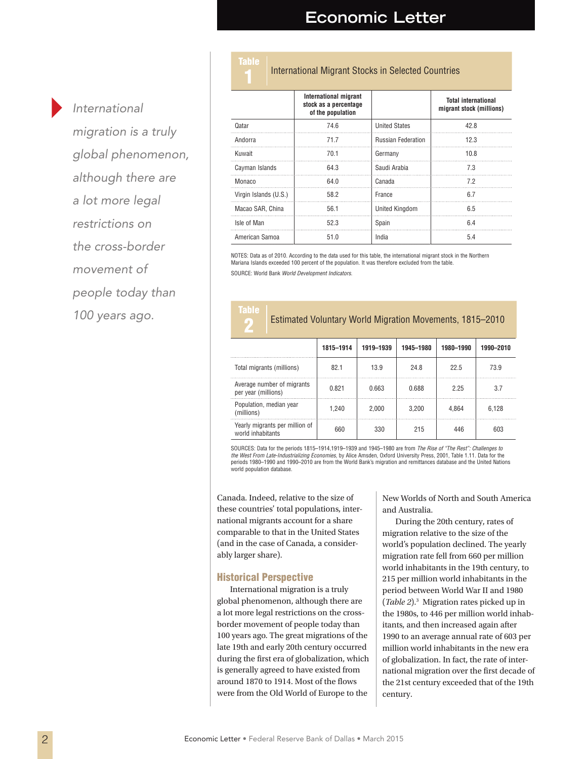## **Economic Letter**

**International Migrant Stocks in Selected Countries** 

*International* 

*migration is a truly global phenomenon, although there are a lot more legal restrictions on the cross-border movement of people today than 100 years ago.*

#### **International migrant stock as a percentage of the population Total international migrant stock (millions)** Qatar 74.6 United States 42.8 Andorra 12.3 Kuwait 70.1 Germany 10.8 Cayman Islands 64.3 Saudi Arabia 7.3 Monaco 64.0 Canada 7.2 Virgin Islands (U.S.) 58.2 France 6.7 Macao SAR, China | 56.1 United Kingdom | 6.5 Isle of Man  $52.3$  Spain 6.4 American Samoa  $\begin{array}{|c|c|c|c|c|} \hline \text{American Samoa} & \text{51.0} & \text{India} & \text{5.4} \ \hline \end{array}$

NOTES: Data as of 2010. According to the data used for this table, the international migrant stock in the Northern Mariana Islands exceeded 100 percent of the population. It was therefore excluded from the table. SOURCE: World Bank *World Development Indicators*.

# ahle

Table

#### 2 Estimated Voluntary World Migration Movements, 1815–2010

|                                                     | 1815-1914 | 1919-1939 | 1945-1980 | 1980-1990 | 1990-2010 |
|-----------------------------------------------------|-----------|-----------|-----------|-----------|-----------|
| Total migrants (millions)                           | 82.1      | 13.9      | 248       | 22.5      | 73.9      |
| Average number of migrants<br>per year (millions)   | 0.821     | 0.663     | 0.688     | 225       | 3.7       |
| Population, median year<br>(millions)               | 1.240     | 2.000     | 3.200     | 4.864     | 6.128     |
| Yearly migrants per million of<br>world inhabitants | 660       | 330       | 215       | 446       | 603       |

SOURCES: Data for the periods 1815–1914,1919–1939 and 1945–1980 are from *The Rise of "The Rest": Challenges to the West From Late-Industrializing Economies*, by Alice Amsden, Oxford University Press, 2001, Table 1.11. Data for the periods 1980–1990 and 1990–2010 are from the World Bank's migration and remittances database and the United Nations world population database.

Canada. Indeed, relative to the size of these countries' total populations, international migrants account for a share comparable to that in the United States (and in the case of Canada, a considerably larger share).

#### Historical Perspective

International migration is a truly global phenomenon, although there are a lot more legal restrictions on the crossborder movement of people today than 100 years ago. The great migrations of the late 19th and early 20th century occurred during the first era of globalization, which is generally agreed to have existed from around 1870 to 1914. Most of the flows were from the Old World of Europe to the

New Worlds of North and South America and Australia.

During the 20th century, rates of migration relative to the size of the world's population declined. The yearly migration rate fell from 660 per million world inhabitants in the 19th century, to 215 per million world inhabitants in the period between World War II and 1980 (*Table 2*).3 Migration rates picked up in the 1980s, to 446 per million world inhabitants, and then increased again after 1990 to an average annual rate of 603 per million world inhabitants in the new era of globalization. In fact, the rate of international migration over the first decade of the 21st century exceeded that of the 19th century.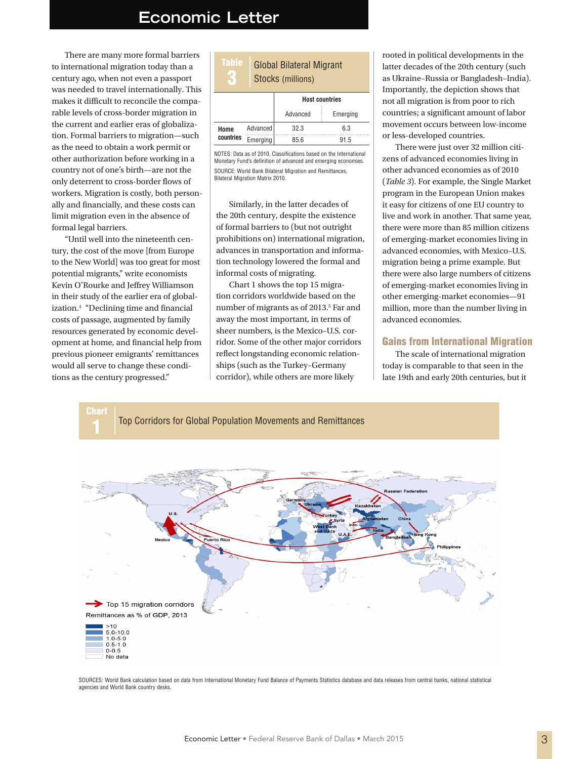### **Economic Letter**

There are many more formal barriers to international migration today than a century ago, when not even a passport was needed to travel internationally. This makes it difficult to reconcile the comparable levels of cross-border migration in the current and earlier eras of globalization. Formal barriers to migration—such as the need to obtain a work permit or other authorization before working in a country not of one's birth—are not the only deterrent to cross-border flows of workers. Migration is costly, both personally and financially, and these costs can limit migration even in the absence of formal legal barriers.

"Until well into the nineteenth century, the cost of the move [from Europe to the New World] was too great for most potential migrants," write economists Kevin O'Rourke and Jeffrey Williamson in their study of the earlier era of globalization.4 "Declining time and financial costs of passage, augmented by family resources generated by economic development at home, and financial help from previous pioneer emigrants' remittances would all serve to change these conditions as the century progressed."

| <b>Table</b><br><b>Global Bilateral Migrant</b><br>Stocks (millions) |                       |          |  |  |  |  |
|----------------------------------------------------------------------|-----------------------|----------|--|--|--|--|
|                                                                      | <b>Host countries</b> |          |  |  |  |  |
|                                                                      | Advanced              | Emerging |  |  |  |  |
| Advanced                                                             | 32.3                  | 6.3      |  |  |  |  |
| Emerging                                                             | 85.6                  | 91.5     |  |  |  |  |
|                                                                      |                       |          |  |  |  |  |

NOTES: Data as of 2010. Classifications based on the International Monetary Fund's definition of advanced and emerging economies. SOURCE: World Bank Bilateral Migration and Remittances, Bilateral Migration Matrix 2010.

Similarly, in the latter decades of the 20th century, despite the existence of formal barriers to (but not outright prohibitions on) international migration, advances in transportation and information technology lowered the formal and informal costs of migrating.

Chart 1 shows the top 15 migration corridors worldwide based on the number of migrants as of 2013.<sup>5</sup> Far and away the most important, in terms of sheer numbers, is the Mexico–U.S. corridor. Some of the other major corridors reflect longstanding economic relationships (such as the Turkey–Germany corridor), while others are more likely

rooted in political developments in the latter decades of the 20th century (such as Ukraine–Russia or Bangladesh–India). Importantly, the depiction shows that not all migration is from poor to rich countries; a significant amount of labor movement occurs between low-income or less-developed countries.

There were just over 32 million citizens of advanced economies living in other advanced economies as of 2010 (*Table 3*). For example, the Single Market program in the European Union makes it easy for citizens of one EU country to live and work in another. That same year, there were more than 85 million citizens of emerging-market economies living in advanced economies, with Mexico–U.S. migration being a prime example. But there were also large numbers of citizens of emerging-market economies living in other emerging-market economies—91 million, more than the number living in advanced economies.

#### Gains from International Migration

The scale of international migration today is comparable to that seen in the late 19th and early 20th centuries, but it



SOURCES: World Bank calculation based on data from International Monetary Fund Balance of Payments Statistics database and data releases from central banks, national statistical agencies and World Bank country desks.